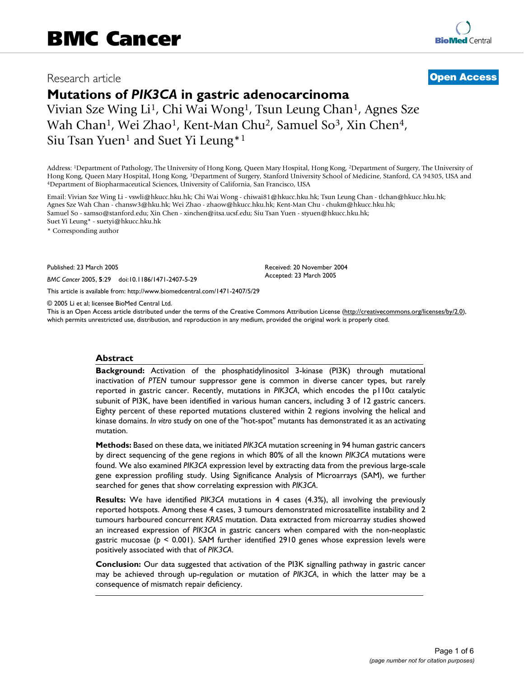# Research article **[Open Access](http://www.biomedcentral.com/info/about/charter/)**

**Mutations of** *PIK3CA* **in gastric adenocarcinoma** Vivian Sze Wing Li<sup>1</sup>, Chi Wai Wong<sup>1</sup>, Tsun Leung Chan<sup>1</sup>, Agnes Sze Wah Chan<sup>1</sup>, Wei Zhao<sup>1</sup>, Kent-Man Chu<sup>2</sup>, Samuel So<sup>3</sup>, Xin Chen<sup>4</sup>, Siu Tsan Yuen<sup>1</sup> and Suet Yi Leung<sup>\*1</sup>

Address: 1Department of Pathology, The University of Hong Kong, Queen Mary Hospital, Hong Kong, 2Department of Surgery, The University of Hong Kong, Queen Mary Hospital, Hong Kong, <sup>3</sup>Department of Surgery, Stanford University School of Medicine, Stanford, CA 94305, USA and 4Department of Biopharmaceutical Sciences, University of California, San Francisco, U

Email: Vivian Sze Wing Li - vswli@hkucc.hku.hk; Chi Wai Wong - chiwai81@hkucc.hku.hk; Tsun Leung Chan - tlchan@hkucc.hku.hk; Agnes Sze Wah Chan - chansw3@hku.hk; Wei Zhao - zhaow@hkucc.hku.hk; Kent-Man Chu - chukm@hkucc.hku.hk; Samuel So - samso@stanford.edu; Xin Chen - xinchen@itsa.ucsf.edu; Siu Tsan Yuen - styuen@hkucc.hku.hk; Suet Yi Leung\* - suetyi@hkucc.hku.hk

\* Corresponding author

Published: 23 March 2005

*BMC Cancer* 2005, **5**:29 doi:10.1186/1471-2407-5-29

[This article is available from: http://www.biomedcentral.com/1471-2407/5/29](http://www.biomedcentral.com/1471-2407/5/29)

© 2005 Li et al; licensee BioMed Central Ltd.

This is an Open Access article distributed under the terms of the Creative Commons Attribution License [\(http://creativecommons.org/licenses/by/2.0\)](http://creativecommons.org/licenses/by/2.0), which permits unrestricted use, distribution, and reproduction in any medium, provided the original work is properly cited.

Received: 20 November 2004 Accepted: 23 March 2005

#### **Abstract**

**Background:** Activation of the phosphatidylinositol 3-kinase (PI3K) through mutational inactivation of *PTEN* tumour suppressor gene is common in diverse cancer types, but rarely reported in gastric cancer. Recently, mutations in *PIK3CA*, which encodes the p110α catalytic subunit of PI3K, have been identified in various human cancers, including 3 of 12 gastric cancers. Eighty percent of these reported mutations clustered within 2 regions involving the helical and kinase domains. *In vitro* study on one of the "hot-spot" mutants has demonstrated it as an activating mutation.

**Methods:** Based on these data, we initiated *PIK3CA* mutation screening in 94 human gastric cancers by direct sequencing of the gene regions in which 80% of all the known *PIK3CA* mutations were found. We also examined *PIK3CA* expression level by extracting data from the previous large-scale gene expression profiling study. Using Significance Analysis of Microarrays (SAM), we further searched for genes that show correlating expression with *PIK3CA*.

**Results:** We have identified *PIK3CA* mutations in 4 cases (4.3%), all involving the previously reported hotspots. Among these 4 cases, 3 tumours demonstrated microsatellite instability and 2 tumours harboured concurrent *KRAS* mutation. Data extracted from microarray studies showed an increased expression of *PIK3CA* in gastric cancers when compared with the non-neoplastic gastric mucosae (*p* < 0.001). SAM further identified 2910 genes whose expression levels were positively associated with that of *PIK3CA*.

**Conclusion:** Our data suggested that activation of the PI3K signalling pathway in gastric cancer may be achieved through up-regulation or mutation of *PIK3CA*, in which the latter may be a consequence of mismatch repair deficiency.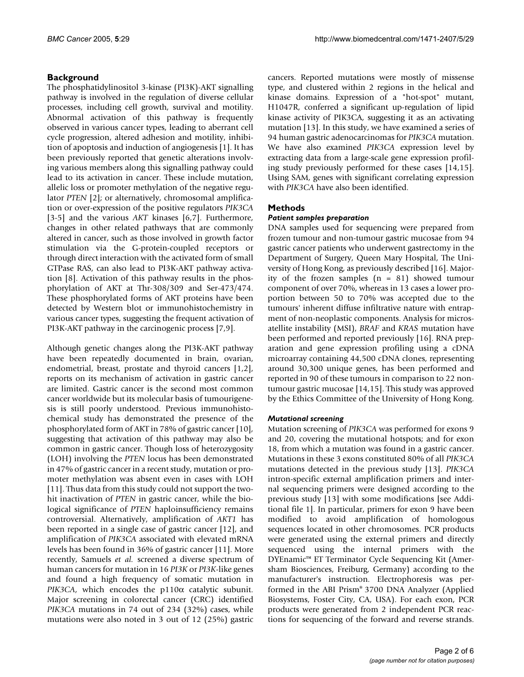# **Background**

The phosphatidylinositol 3-kinase (PI3K)-AKT signalling pathway is involved in the regulation of diverse cellular processes, including cell growth, survival and motility. Abnormal activation of this pathway is frequently observed in various cancer types, leading to aberrant cell cycle progression, altered adhesion and motility, inhibition of apoptosis and induction of angiogenesis [1]. It has been previously reported that genetic alterations involving various members along this signalling pathway could lead to its activation in cancer. These include mutation, allelic loss or promoter methylation of the negative regulator *PTEN* [2]; or alternatively, chromosomal amplification or over-expression of the positive regulators *PIK3CA* [3-5] and the various *AKT* kinases [6,7]. Furthermore, changes in other related pathways that are commonly altered in cancer, such as those involved in growth factor stimulation via the G-protein-coupled receptors or through direct interaction with the activated form of small GTPase RAS, can also lead to PI3K-AKT pathway activation [8]. Activation of this pathway results in the phosphorylation of AKT at Thr-308/309 and Ser-473/474. These phosphorylated forms of AKT proteins have been detected by Western blot or immunohistochemistry in various cancer types, suggesting the frequent activation of PI3K-AKT pathway in the carcinogenic process [7,9].

Although genetic changes along the PI3K-AKT pathway have been repeatedly documented in brain, ovarian, endometrial, breast, prostate and thyroid cancers [1,2], reports on its mechanism of activation in gastric cancer are limited. Gastric cancer is the second most common cancer worldwide but its molecular basis of tumourigenesis is still poorly understood. Previous immunohistochemical study has demonstrated the presence of the phosphorylated form of AKT in 78% of gastric cancer [10], suggesting that activation of this pathway may also be common in gastric cancer. Though loss of heterozygosity (LOH) involving the *PTEN* locus has been demonstrated in 47% of gastric cancer in a recent study, mutation or promoter methylation was absent even in cases with LOH [11]. Thus data from this study could not support the twohit inactivation of *PTEN* in gastric cancer, while the biological significance of *PTEN* haploinsufficiency remains controversial. Alternatively, amplification of *AKT1* has been reported in a single case of gastric cancer [12], and amplification of *PIK3CA* associated with elevated mRNA levels has been found in 36% of gastric cancer [11]. More recently, Samuels *et al.* screened a diverse spectrum of human cancers for mutation in 16 *PI3K* or *PI3K*-like genes and found a high frequency of somatic mutation in *PIK3CA*, which encodes the p110α catalytic subunit. Major screening in colorectal cancer (CRC) identified *PIK3CA* mutations in 74 out of 234 (32%) cases, while mutations were also noted in 3 out of 12 (25%) gastric cancers. Reported mutations were mostly of missense type, and clustered within 2 regions in the helical and kinase domains. Expression of a "hot-spot" mutant, H1047R, conferred a significant up-regulation of lipid kinase activity of PIK3CA, suggesting it as an activating mutation [13]. In this study, we have examined a series of 94 human gastric adenocarcinomas for *PIK3CA* mutation. We have also examined *PIK3CA* expression level by extracting data from a large-scale gene expression profiling study previously performed for these cases [14,15]. Using SAM, genes with significant correlating expression with *PIK3CA* have also been identified.

## **Methods**

#### *Patient samples preparation*

DNA samples used for sequencing were prepared from frozen tumour and non-tumour gastric mucosae from 94 gastric cancer patients who underwent gastrectomy in the Department of Surgery, Queen Mary Hospital, The University of Hong Kong, as previously described [16]. Majority of the frozen samples  $(n = 81)$  showed tumour component of over 70%, whereas in 13 cases a lower proportion between 50 to 70% was accepted due to the tumours' inherent diffuse infiltrative nature with entrapment of non-neoplastic components. Analysis for microsatellite instability (MSI), *BRAF* and *KRAS* mutation have been performed and reported previously [16]. RNA preparation and gene expression profiling using a cDNA microarray containing 44,500 cDNA clones, representing around 30,300 unique genes, has been performed and reported in 90 of these tumours in comparison to 22 nontumour gastric mucosae [14,15]. This study was approved by the Ethics Committee of the University of Hong Kong.

#### *Mutational screening*

Mutation screening of *PIK3CA* was performed for exons 9 and 20, covering the mutational hotspots; and for exon 18, from which a mutation was found in a gastric cancer. Mutations in these 3 exons constituted 80% of all *PIK3CA* mutations detected in the previous study [13]. *PIK3CA* intron-specific external amplification primers and internal sequencing primers were designed according to the previous study [13] with some modifications [see Additional file 1]. In particular, primers for exon 9 have been modified to avoid amplification of homologous sequences located in other chromosomes. PCR products were generated using the external primers and directly sequenced using the internal primers with the DYEnamic™ ET Terminator Cycle Sequencing Kit (Amersham Biosciences, Freiburg, Germany) according to the manufacturer's instruction. Electrophoresis was performed in the ABI Prism® 3700 DNA Analyzer (Applied Biosystems, Foster City, CA, USA). For each exon, PCR products were generated from 2 independent PCR reactions for sequencing of the forward and reverse strands.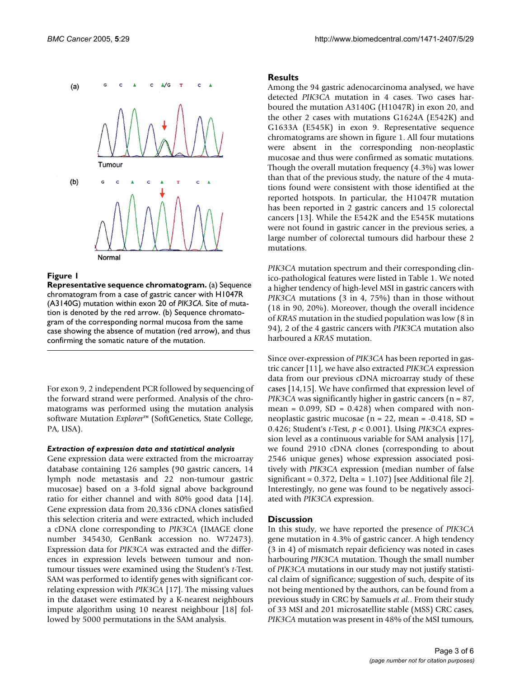

#### **Figure 1**

**Representative sequence chromatogram.** (a) Sequence chromatogram from a case of gastric cancer with H1047R (A3140G) mutation within exon 20 of *PIK3CA*. Site of mutation is denoted by the red arrow. (b) Sequence chromatogram of the corresponding normal mucosa from the same case showing the absence of mutation (red arrow), and thus confirming the somatic nature of the mutation.

For exon 9, 2 independent PCR followed by sequencing of the forward strand were performed. Analysis of the chromatograms was performed using the mutation analysis software Mutation *Explorer*™ (SoftGenetics, State College, PA, USA).

#### *Extraction of expression data and statistical analysis*

Gene expression data were extracted from the microarray database containing 126 samples (90 gastric cancers, 14 lymph node metastasis and 22 non-tumour gastric mucosae) based on a 3-fold signal above background ratio for either channel and with 80% good data [14]. Gene expression data from 20,336 cDNA clones satisfied this selection criteria and were extracted, which included a cDNA clone corresponding to *PIK3CA* (IMAGE clone number 345430, GenBank accession no. W72473). Expression data for *PIK3CA* was extracted and the differences in expression levels between tumour and nontumour tissues were examined using the Student's *t*-Test. SAM was performed to identify genes with significant correlating expression with *PIK3CA* [17]. The missing values in the dataset were estimated by a K-nearest neighbours impute algorithm using 10 nearest neighbour [18] followed by 5000 permutations in the SAM analysis.

#### **Results**

Among the 94 gastric adenocarcinoma analysed, we have detected *PIK3CA* mutation in 4 cases. Two cases harboured the mutation A3140G (H1047R) in exon 20, and the other 2 cases with mutations G1624A (E542K) and G1633A (E545K) in exon 9. Representative sequence chromatograms are shown in figure 1. All four mutations were absent in the corresponding non-neoplastic mucosae and thus were confirmed as somatic mutations. Though the overall mutation frequency (4.3%) was lower than that of the previous study, the nature of the 4 mutations found were consistent with those identified at the reported hotspots. In particular, the H1047R mutation has been reported in 2 gastric cancers and 15 colorectal cancers [13]. While the E542K and the E545K mutations were not found in gastric cancer in the previous series, a large number of colorectal tumours did harbour these 2 mutations.

*PIK3CA* mutation spectrum and their corresponding clinico-pathological features were listed in Table 1. We noted a higher tendency of high-level MSI in gastric cancers with *PIK3CA* mutations (3 in 4, 75%) than in those without (18 in 90, 20%). Moreover, though the overall incidence of *KRAS* mutation in the studied population was low (8 in 94), 2 of the 4 gastric cancers with *PIK3CA* mutation also harboured a *KRAS* mutation.

Since over-expression of *PIK3CA* has been reported in gastric cancer [11], we have also extracted *PIK3CA* expression data from our previous cDNA microarray study of these cases [14,15]. We have confirmed that expression level of *PIK3CA* was significantly higher in gastric cancers (n = 87, mean =  $0.099$ , SD =  $0.428$ ) when compared with nonneoplastic gastric mucosae ( $n = 22$ , mean = -0.418, SD = 0.426; Student's *t*-Test, *p* < 0.001). Using *PIK3CA* expression level as a continuous variable for SAM analysis [17], we found 2910 cDNA clones (corresponding to about 2546 unique genes) whose expression associated positively with *PIK3CA* expression (median number of false significant = 0.372, Delta = 1.107) [see Additional file 2]. Interestingly, no gene was found to be negatively associated with *PIK3CA* expression.

#### **Discussion**

In this study, we have reported the presence of *PIK3CA* gene mutation in 4.3% of gastric cancer. A high tendency (3 in 4) of mismatch repair deficiency was noted in cases harbouring *PIK3CA* mutation. Though the small number of *PIK3CA* mutations in our study may not justify statistical claim of significance; suggestion of such, despite of its not being mentioned by the authors, can be found from a previous study in CRC by Samuels *et al.*. From their study of 33 MSI and 201 microsatellite stable (MSS) CRC cases, *PIK3CA* mutation was present in 48% of the MSI tumours,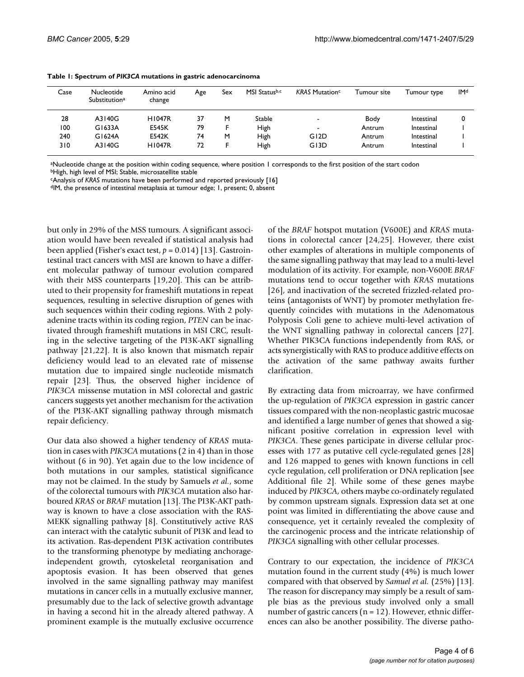| Case | Nucleotide<br>Substitution <sup>a</sup> | Amino acid<br>change | Age | Sex | MSI Statusb,c | <b>KRAS Mutation<sup>c</sup></b> | Tumour site | Tumour type | <b>IMd</b> |
|------|-----------------------------------------|----------------------|-----|-----|---------------|----------------------------------|-------------|-------------|------------|
| 28   | A3140G                                  | <b>H1047R</b>        | 37  | M   | <b>Stable</b> | $\overline{\phantom{0}}$         | Body        | Intestinal  |            |
| 100  | G1633A                                  | <b>E545K</b>         | 79  |     | <b>High</b>   | $\overline{\phantom{0}}$         | Antrum      | Intestinal  |            |
| 240  | G1624A                                  | E542K                | 74  | M   | <b>High</b>   | G <sub>12</sub> D                | Antrum      | Intestinal  |            |
| 310  | A3140G                                  | <b>H1047R</b>        | 72  |     | High          | G <sub>13</sub> D                | Antrum      | Intestinal  |            |

| Table 1: Spectrum of PIK3CA mutations in gastric adenocarcinoma |  |  |  |  |
|-----------------------------------------------------------------|--|--|--|--|
|-----------------------------------------------------------------|--|--|--|--|

aNucleotide change at the position within coding sequence, where position 1 corresponds to the first position of the start codon **bHigh, high level of MSI; Stable, microsatellite stable** 

cAnalysis of *KRAS* mutations have been performed and reported previously [16] dIM, the presence of intestinal metaplasia at tumour edge; 1, present; 0, absent

but only in 29% of the MSS tumours. A significant association would have been revealed if statistical analysis had been applied (Fisher's exact test, *p* = 0.014) [13]. Gastrointestinal tract cancers with MSI are known to have a different molecular pathway of tumour evolution compared with their MSS counterparts [19,20]. This can be attributed to their propensity for frameshift mutations in repeat sequences, resulting in selective disruption of genes with such sequences within their coding regions. With 2 polyadenine tracts within its coding region, *PTEN* can be inactivated through frameshift mutations in MSI CRC, resulting in the selective targeting of the PI3K-AKT signalling pathway [21,22]. It is also known that mismatch repair deficiency would lead to an elevated rate of missense mutation due to impaired single nucleotide mismatch repair [23]. Thus, the observed higher incidence of *PIK3CA* missense mutation in MSI colorectal and gastric cancers suggests yet another mechanism for the activation of the PI3K-AKT signalling pathway through mismatch repair deficiency.

Our data also showed a higher tendency of *KRAS* mutation in cases with *PIK3CA* mutations (2 in 4) than in those without (6 in 90). Yet again due to the low incidence of both mutations in our samples, statistical significance may not be claimed. In the study by Samuels *et al.*, some of the colorectal tumours with *PIK3CA* mutation also harboured *KRAS* or *BRAF* mutation [13]. The PI3K-AKT pathway is known to have a close association with the RAS-MEKK signalling pathway [8]. Constitutively active RAS can interact with the catalytic subunit of PI3K and lead to its activation. Ras-dependent PI3K activation contributes to the transforming phenotype by mediating anchorageindependent growth, cytoskeletal reorganisation and apoptosis evasion. It has been observed that genes involved in the same signalling pathway may manifest mutations in cancer cells in a mutually exclusive manner, presumably due to the lack of selective growth advantage in having a second hit in the already altered pathway. A prominent example is the mutually exclusive occurrence

of the *BRAF* hotspot mutation (V600E) and *KRAS* mutations in colorectal cancer [24,25]. However, there exist other examples of alterations in multiple components of the same signalling pathway that may lead to a multi-level modulation of its activity. For example, non-V600E *BRAF* mutations tend to occur together with *KRAS* mutations [26], and inactivation of the secreted frizzled-related proteins (antagonists of WNT) by promoter methylation frequently coincides with mutations in the Adenomatous Polyposis Coli gene to achieve multi-level activation of the WNT signalling pathway in colorectal cancers [27]. Whether PIK3CA functions independently from RAS, or acts synergistically with RAS to produce additive effects on the activation of the same pathway awaits further clarification.

By extracting data from microarray, we have confirmed the up-regulation of *PIK3CA* expression in gastric cancer tissues compared with the non-neoplastic gastric mucosae and identified a large number of genes that showed a significant positive correlation in expression level with *PIK3CA*. These genes participate in diverse cellular processes with 177 as putative cell cycle-regulated genes [28] and 126 mapped to genes with known functions in cell cycle regulation, cell proliferation or DNA replication [see Additional file 2]. While some of these genes maybe induced by *PIK3CA*, others maybe co-ordinately regulated by common upstream signals. Expression data set at one point was limited in differentiating the above cause and consequence, yet it certainly revealed the complexity of the carcinogenic process and the intricate relationship of *PIK3CA* signalling with other cellular processes.

Contrary to our expectation, the incidence of *PIK3CA* mutation found in the current study (4%) is much lower compared with that observed by *Samuel et al.* (25%) [13]. The reason for discrepancy may simply be a result of sample bias as the previous study involved only a small number of gastric cancers ( $n = 12$ ). However, ethnic differences can also be another possibility. The diverse patho-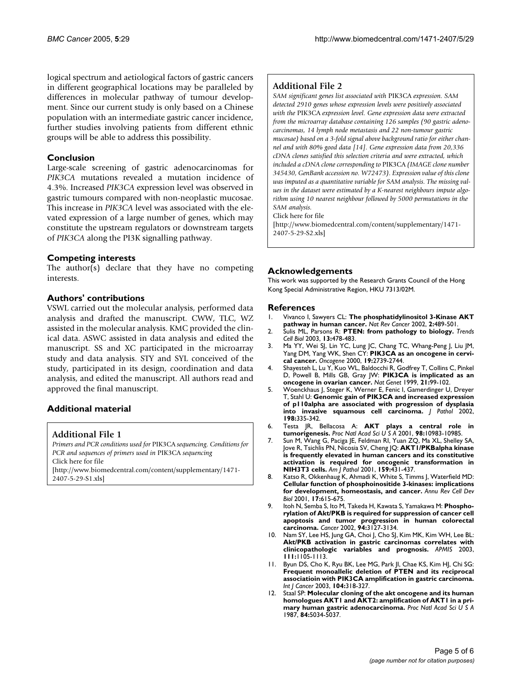logical spectrum and aetiological factors of gastric cancers in different geographical locations may be paralleled by differences in molecular pathway of tumour development. Since our current study is only based on a Chinese population with an intermediate gastric cancer incidence, further studies involving patients from different ethnic groups will be able to address this possibility.

#### **Conclusion**

Large-scale screening of gastric adenocarcinomas for *PIK3CA* mutations revealed a mutation incidence of 4.3%. Increased *PIK3CA* expression level was observed in gastric tumours compared with non-neoplastic mucosae. This increase in *PIK3CA* level was associated with the elevated expression of a large number of genes, which may constitute the upstream regulators or downstream targets of *PIK3CA* along the PI3K signalling pathway.

## **Competing interests**

The author(s) declare that they have no competing interests.

## **Authors' contributions**

VSWL carried out the molecular analysis, performed data analysis and drafted the manuscript. CWW, TLC, WZ assisted in the molecular analysis. KMC provided the clinical data. ASWC assisted in data analysis and edited the manuscript. SS and XC participated in the microarray study and data analysis. STY and SYL conceived of the study, participated in its design, coordination and data analysis, and edited the manuscript. All authors read and approved the final manuscript.

# **Additional material**

#### **Additional File 1**

*Primers and PCR conditions used for* PIK3CA *sequencing. Conditions for PCR and sequences of primers used in* PIK3CA *sequencing* Click here for file [\[http://www.biomedcentral.com/content/supplementary/1471-](http://www.biomedcentral.com/content/supplementary/1471-2407-5-29-S1.xls)

2407-5-29-S1.xls]

## **Additional File 2**

*SAM significant genes list associated with* PIK3CA *expression. SAM detected 2910 genes whose expression levels were positively associated with the* PIK3CA *expression level. Gene expression data were extracted from the microarray database containing 126 samples (90 gastric adenocarcinomas, 14 lymph node metastasis and 22 non-tumour gastric mucosae) based on a 3-fold signal above background ratio for either channel and with 80% good data [14]. Gene expression data from 20,336 cDNA clones satisfied this selection criteria and were extracted, which included a cDNA clone corresponding to* PIK3CA *(IMAGE clone number 345430, GenBank accession no. W72473). Expression value of this clone was imputed as a quantitative variable for SAM analysis. The missing values in the dataset were estimated by a K-nearest neighbours impute algorithm using 10 nearest neighbour followed by 5000 permutations in the SAM analysis.*

Click here for file

[\[http://www.biomedcentral.com/content/supplementary/1471-](http://www.biomedcentral.com/content/supplementary/1471-2407-5-29-S2.xls) 2407-5-29-S2.xls]

## **Acknowledgements**

This work was supported by the Research Grants Council of the Hong Kong Special Administrative Region, HKU 7313/02M.

#### **References**

- 1. Vivanco I, Sawyers CL: **[The phosphatidylinositol 3-Kinase AKT](http://www.ncbi.nlm.nih.gov/entrez/query.fcgi?cmd=Retrieve&db=PubMed&dopt=Abstract&list_uids=12094235) [pathway in human cancer.](http://www.ncbi.nlm.nih.gov/entrez/query.fcgi?cmd=Retrieve&db=PubMed&dopt=Abstract&list_uids=12094235)** *Nat Rev Cancer* 2002, **2:**489-501.
- 2. Sulis ML, Parsons R: **[PTEN: from pathology to biology.](http://www.ncbi.nlm.nih.gov/entrez/query.fcgi?cmd=Retrieve&db=PubMed&dopt=Abstract&list_uids=12946627)** *Trends Cell Biol* 2003, **13:**478-483.
- 3. Ma YY, Wei SJ, Lin YC, Lung JC, Chang TC, Whang-Peng J, Liu JM, Yang DM, Yang WK, Shen CY: **[PIK3CA as an oncogene in cervi](http://www.ncbi.nlm.nih.gov/entrez/query.fcgi?cmd=Retrieve&db=PubMed&dopt=Abstract&list_uids=10851074)[cal cancer.](http://www.ncbi.nlm.nih.gov/entrez/query.fcgi?cmd=Retrieve&db=PubMed&dopt=Abstract&list_uids=10851074)** *Oncogene* 2000, **19:**2739-2744.
- 4. Shayesteh L, Lu Y, Kuo WL, Baldocchi R, Godfrey T, Collins C, Pinkel D, Powell B, Mills GB, Gray JW: **[PIK3CA is implicated as an](http://www.ncbi.nlm.nih.gov/entrez/query.fcgi?cmd=Retrieve&db=PubMed&dopt=Abstract&list_uids=9916799) [oncogene in ovarian cancer.](http://www.ncbi.nlm.nih.gov/entrez/query.fcgi?cmd=Retrieve&db=PubMed&dopt=Abstract&list_uids=9916799)** *Nat Genet* 1999, **21:**99-102.
- 5. Woenckhaus J, Steger K, Werner E, Fenic I, Gamerdinger U, Dreyer T, Stahl U: **[Genomic gain of PIK3CA and increased expression](http://www.ncbi.nlm.nih.gov/entrez/query.fcgi?cmd=Retrieve&db=PubMed&dopt=Abstract&list_uids=12375266) [of p110alpha are associated with progression of dysplasia](http://www.ncbi.nlm.nih.gov/entrez/query.fcgi?cmd=Retrieve&db=PubMed&dopt=Abstract&list_uids=12375266) [into invasive squamous cell carcinoma.](http://www.ncbi.nlm.nih.gov/entrez/query.fcgi?cmd=Retrieve&db=PubMed&dopt=Abstract&list_uids=12375266)** *J Pathol* 2002, **198:**335-342.
- 6. Testa JR, Bellacosa A: **[AKT plays a central role in](http://www.ncbi.nlm.nih.gov/entrez/query.fcgi?cmd=Retrieve&db=PubMed&dopt=Abstract&list_uids=11572954) [tumorigenesis.](http://www.ncbi.nlm.nih.gov/entrez/query.fcgi?cmd=Retrieve&db=PubMed&dopt=Abstract&list_uids=11572954)** *Proc Natl Acad Sci U S A* 2001, **98:**10983-10985.
- 7. Sun M, Wang G, Paciga JE, Feldman RI, Yuan ZQ, Ma XL, Shelley SA, Jove R, Tsichlis PN, Nicosia SV, Cheng JQ: **[AKT1/PKBalpha kinase](http://www.ncbi.nlm.nih.gov/entrez/query.fcgi?cmd=Retrieve&db=PubMed&dopt=Abstract&list_uids=11485901) [is frequently elevated in human cancers and its constitutive](http://www.ncbi.nlm.nih.gov/entrez/query.fcgi?cmd=Retrieve&db=PubMed&dopt=Abstract&list_uids=11485901) activation is required for oncogenic transformation in [NIH3T3 cells.](http://www.ncbi.nlm.nih.gov/entrez/query.fcgi?cmd=Retrieve&db=PubMed&dopt=Abstract&list_uids=11485901)** *Am J Pathol* 2001, **159:**431-437.
- 8. Katso R, Okkenhaug K, Ahmadi K, White S, Timms J, Waterfield MD: **[Cellular function of phosphoinositide 3-kinases: implications](http://www.ncbi.nlm.nih.gov/entrez/query.fcgi?cmd=Retrieve&db=PubMed&dopt=Abstract&list_uids=11687500) [for development, homeostasis, and cancer.](http://www.ncbi.nlm.nih.gov/entrez/query.fcgi?cmd=Retrieve&db=PubMed&dopt=Abstract&list_uids=11687500)** *Annu Rev Cell Dev Biol* 2001, **17:**615-675.
- 9. Itoh N, Semba S, Ito M, Takeda H, Kawata S, Yamakawa M: **[Phospho](http://www.ncbi.nlm.nih.gov/entrez/query.fcgi?cmd=Retrieve&db=PubMed&dopt=Abstract&list_uids=12115344)[rylation of Akt/PKB is required for suppression of cancer cell](http://www.ncbi.nlm.nih.gov/entrez/query.fcgi?cmd=Retrieve&db=PubMed&dopt=Abstract&list_uids=12115344) apoptosis and tumor progression in human colorectal [carcinoma.](http://www.ncbi.nlm.nih.gov/entrez/query.fcgi?cmd=Retrieve&db=PubMed&dopt=Abstract&list_uids=12115344)** *Cancer* 2002, **94:**3127-3134.
- 10. Nam SY, Lee HS, Jung GA, Choi J, Cho SJ, Kim MK, Kim WH, Lee BL: **[Akt/PKB activation in gastric carcinomas correlates with](http://www.ncbi.nlm.nih.gov/entrez/query.fcgi?cmd=Retrieve&db=PubMed&dopt=Abstract&list_uids=14678019) [clinicopathologic variables and prognosis.](http://www.ncbi.nlm.nih.gov/entrez/query.fcgi?cmd=Retrieve&db=PubMed&dopt=Abstract&list_uids=14678019)** *APMIS* 2003, **111:**1105-1113.
- 11. Byun DS, Cho K, Ryu BK, Lee MG, Park JI, Chae KS, Kim HJ, Chi SG: **[Frequent monoallelic deletion of PTEN and its reciprocal](http://www.ncbi.nlm.nih.gov/entrez/query.fcgi?cmd=Retrieve&db=PubMed&dopt=Abstract&list_uids=12569555) associatioin with PIK3CA amplification in gastric carcinoma.** *Int J Cancer* 2003, **104:**318-327.
- 12. Staal SP: **[Molecular cloning of the akt oncogene and its human](http://www.ncbi.nlm.nih.gov/entrez/query.fcgi?cmd=Retrieve&db=PubMed&dopt=Abstract&list_uids=3037531) [homologues AKT1 and AKT2: amplification of AKT1 in a pri](http://www.ncbi.nlm.nih.gov/entrez/query.fcgi?cmd=Retrieve&db=PubMed&dopt=Abstract&list_uids=3037531)[mary human gastric adenocarcinoma.](http://www.ncbi.nlm.nih.gov/entrez/query.fcgi?cmd=Retrieve&db=PubMed&dopt=Abstract&list_uids=3037531)** *Proc Natl Acad Sci U S A* 1987, **84:**5034-5037.